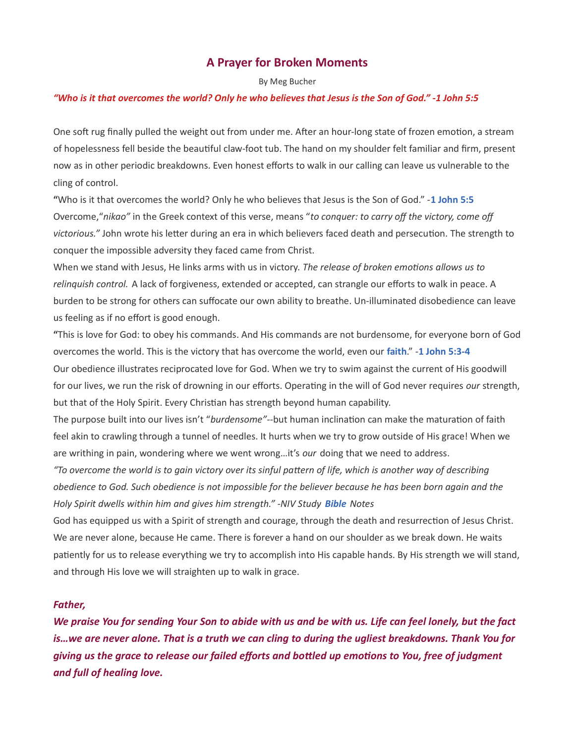## A Prayer for Broken Moments

By Meg Bucher

## "Who is it that overcomes the world? Only he who believes that Jesus is the Son of God." -1 John 5:5

One soft rug finally pulled the weight out from under me. After an hour-long state of frozen emotion, a stream of hopelessness fell beside the beautiful claw-foot tub. The hand on my shoulder felt familiar and firm, present now as in other periodic breakdowns. Even honest efforts to walk in our calling can leave us vulnerable to the cling of control.

"Who is it that overcomes the world? Only he who believes that Jesus is the Son of God." -1 John 5:5 Overcome, "nikao" in the Greek context of this verse, means "to conquer: to carry off the victory, come off victorious." John wrote his letter during an era in which believers faced death and persecution. The strength to conquer the impossible adversity they faced came from Christ.

When we stand with Jesus, He links arms with us in victory. The release of broken emotions allows us to relinquish control. A lack of forgiveness, extended or accepted, can strangle our efforts to walk in peace. A burden to be strong for others can suffocate our own ability to breathe. Un-illuminated disobedience can leave us feeling as if no effort is good enough.

"This is love for God: to obey his commands. And His commands are not burdensome, for everyone born of God overcomes the world. This is the victory that has overcome the world, even our faith." -1 John 5:3-4 Our obedience illustrates reciprocated love for God. When we try to swim against the current of His goodwill for our lives, we run the risk of drowning in our efforts. Operating in the will of God never requires our strength, but that of the Holy Spirit. Every Christian has strength beyond human capability.

The purpose built into our lives isn't "burdensome"--but human inclination can make the maturation of faith feel akin to crawling through a tunnel of needles. It hurts when we try to grow outside of His grace! When we are writhing in pain, wondering where we went wrong...it's our doing that we need to address.

"To overcome the world is to gain victory over its sinful pattern of life, which is another way of describing obedience to God. Such obedience is not impossible for the believer because he has been born again and the Holy Spirit dwells within him and gives him strength." -NIV Study Bible Notes

God has equipped us with a Spirit of strength and courage, through the death and resurrection of Jesus Christ. We are never alone, because He came. There is forever a hand on our shoulder as we break down. He waits patiently for us to release everything we try to accomplish into His capable hands. By His strength we will stand, and through His love we will straighten up to walk in grace.

## Father,

We praise You for sending Your Son to abide with us and be with us. Life can feel lonely, but the fact is…we are never alone. That is a truth we can cling to during the ugliest breakdowns. Thank You for giving us the grace to release our failed efforts and bottled up emotions to You, free of judgment and full of healing love.